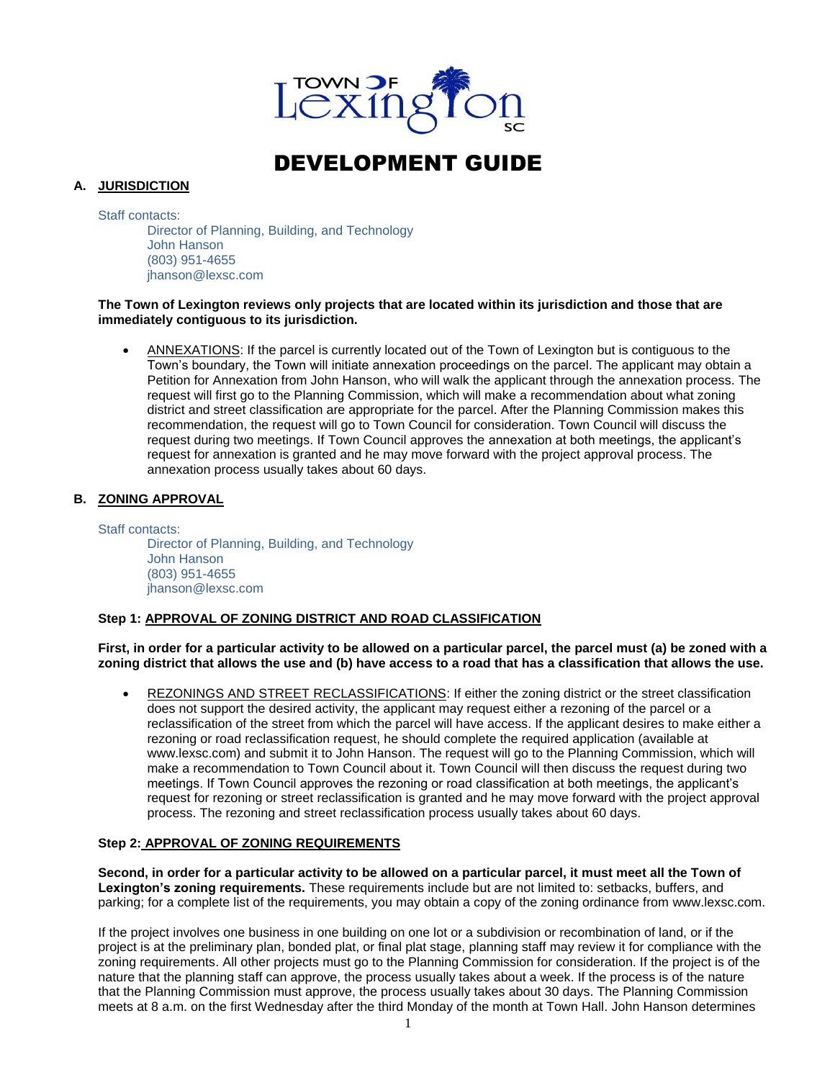

# DEVELOPMENT GUIDE

## **A. JURISDICTION**

Staff contacts: Director of Planning, Building, and Technology John Hanson (803) 951-4655 [jhanson@lexsc.com](mailto:lyoungblood@lexsc.com)

#### **The Town of Lexington reviews only projects that are located within its jurisdiction and those that are immediately contiguous to its jurisdiction.**

• ANNEXATIONS: If the parcel is currently located out of the Town of Lexington but is contiguous to the Town's boundary, the Town will initiate annexation proceedings on the parcel. The applicant may obtain a Petition for Annexation from John Hanson, who will walk the applicant through the annexation process. The request will first go to the Planning Commission, which will make a recommendation about what zoning district and street classification are appropriate for the parcel. After the Planning Commission makes this recommendation, the request will go to Town Council for consideration. Town Council will discuss the request during two meetings. If Town Council approves the annexation at both meetings, the applicant's request for annexation is granted and he may move forward with the project approval process. The annexation process usually takes about 60 days.

#### **B. ZONING APPROVAL**

Staff contacts: Director of Planning, Building, and Technology John Hanson (803) 951-4655 [jhanson@lexsc.com](mailto:lyoungblood@lexsc.com)

#### **Step 1: APPROVAL OF ZONING DISTRICT AND ROAD CLASSIFICATION**

**First, in order for a particular activity to be allowed on a particular parcel, the parcel must (a) be zoned with a zoning district that allows the use and (b) have access to a road that has a classification that allows the use.** 

• REZONINGS AND STREET RECLASSIFICATIONS: If either the zoning district or the street classification does not support the desired activity, the applicant may request either a rezoning of the parcel or a reclassification of the street from which the parcel will have access. If the applicant desires to make either a rezoning or road reclassification request, he should complete the required application (available at [www.lexsc.com\)](http://www.lexsc.com/) and submit it to John Hanson. The request will go to the Planning Commission, which will make a recommendation to Town Council about it. Town Council will then discuss the request during two meetings. If Town Council approves the rezoning or road classification at both meetings, the applicant's request for rezoning or street reclassification is granted and he may move forward with the project approval process. The rezoning and street reclassification process usually takes about 60 days.

## **Step 2: APPROVAL OF ZONING REQUIREMENTS**

**Second, in order for a particular activity to be allowed on a particular parcel, it must meet all the Town of Lexington's zoning requirements.** These requirements include but are not limited to: setbacks, buffers, and parking; for a complete list of the requirements, you may obtain a copy of the zoning ordinance from [www.lexsc.com.](http://www.lexsc.com/)

If the project involves one business in one building on one lot or a subdivision or recombination of land, or if the project is at the preliminary plan, bonded plat, or final plat stage, planning staff may review it for compliance with the zoning requirements. All other projects must go to the Planning Commission for consideration. If the project is of the nature that the planning staff can approve, the process usually takes about a week. If the process is of the nature that the Planning Commission must approve, the process usually takes about 30 days. The Planning Commission meets at 8 a.m. on the first Wednesday after the third Monday of the month at Town Hall. John Hanson determines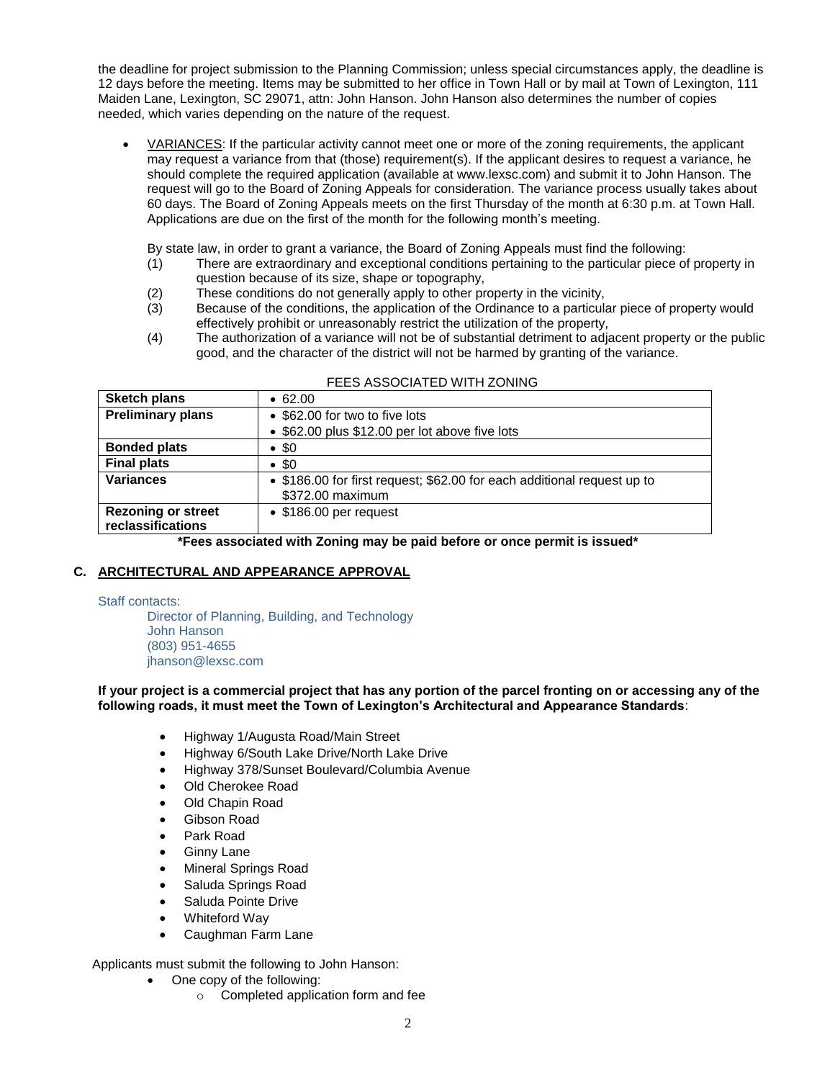the deadline for project submission to the Planning Commission; unless special circumstances apply, the deadline is 12 days before the meeting. Items may be submitted to her office in Town Hall or by mail at Town of Lexington, 111 Maiden Lane, Lexington, SC 29071, attn: John Hanson. John Hanson also determines the number of copies needed, which varies depending on the nature of the request.

- VARIANCES: If the particular activity cannot meet one or more of the zoning requirements, the applicant may request a variance from that (those) requirement(s). If the applicant desires to request a variance, he should complete the required application (available at [www.lexsc.com\)](http://www.lexsc.com/) and submit it to John Hanson. The request will go to the Board of Zoning Appeals for consideration. The variance process usually takes about 60 days. The Board of Zoning Appeals meets on the first Thursday of the month at 6:30 p.m. at Town Hall. Applications are due on the first of the month for the following month's meeting.
	- By state law, in order to grant a variance, the Board of Zoning Appeals must find the following:
	- (1) There are extraordinary and exceptional conditions pertaining to the particular piece of property in question because of its size, shape or topography,
	- (2) These conditions do not generally apply to other property in the vicinity,
	- (3) Because of the conditions, the application of the Ordinance to a particular piece of property would effectively prohibit or unreasonably restrict the utilization of the property,
	- (4) The authorization of a variance will not be of substantial detriment to adjacent property or the public good, and the character of the district will not be harmed by granting of the variance.

| <b>Sketch plans</b>       | • 62.00                                                                                     |
|---------------------------|---------------------------------------------------------------------------------------------|
| <b>Preliminary plans</b>  | • \$62.00 for two to five lots                                                              |
|                           | • \$62.00 plus \$12.00 per lot above five lots                                              |
| <b>Bonded plats</b>       | $\bullet$ \$0                                                                               |
| <b>Final plats</b>        | $\bullet$ \$0                                                                               |
| <b>Variances</b>          | • \$186.00 for first request; \$62.00 for each additional request up to<br>\$372.00 maximum |
| <b>Rezoning or street</b> | $\bullet$ \$186.00 per request                                                              |
| reclassifications         |                                                                                             |

#### FEES ASSOCIATED WITH ZONING

**\*Fees associated with Zoning may be paid before or once permit is issued\***

#### **C. ARCHITECTURAL AND APPEARANCE APPROVAL**

Staff contacts:

Director of Planning, Building, and Technology John Hanson (803) 951-4655 [jhanson@lexsc.com](mailto:lyoungblood@lexsc.com)

**If your project is a commercial project that has any portion of the parcel fronting on or accessing any of the following roads, it must meet the Town of Lexington's Architectural and Appearance Standards**:

- Highway 1/Augusta Road/Main Street
- Highway 6/South Lake Drive/North Lake Drive
- Highway 378/Sunset Boulevard/Columbia Avenue
- Old Cherokee Road
- Old Chapin Road
- Gibson Road
- Park Road
- Ginny Lane
- Mineral Springs Road
- Saluda Springs Road
- Saluda Pointe Drive
- Whiteford Way
- Caughman Farm Lane

Applicants must submit the following to John Hanson:

- One copy of the following:
	- o Completed application form and fee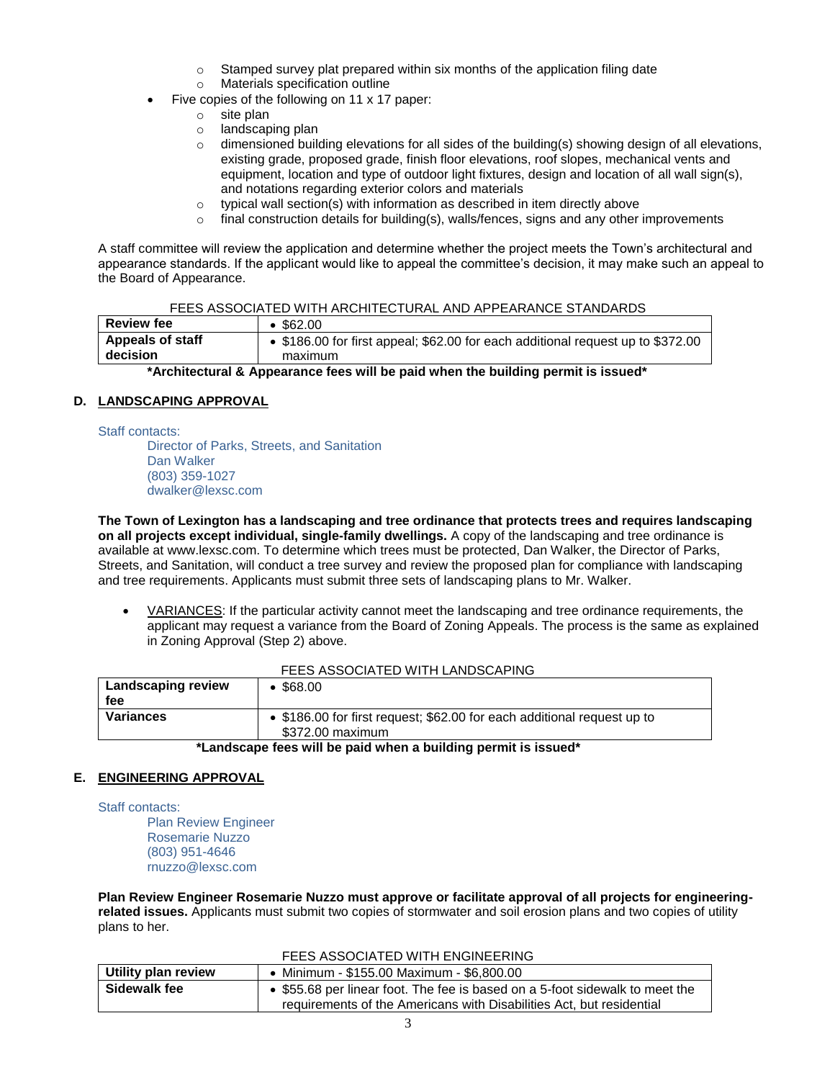- o Stamped survey plat prepared within six months of the application filing date
- o Materials specification outline
- Five copies of the following on 11 x 17 paper:
	- o site plan
	- o landscaping plan
	- $\circ$  dimensioned building elevations for all sides of the building(s) showing design of all elevations, existing grade, proposed grade, finish floor elevations, roof slopes, mechanical vents and equipment, location and type of outdoor light fixtures, design and location of all wall sign(s), and notations regarding exterior colors and materials
	- o typical wall section(s) with information as described in item directly above
	- $\circ$  final construction details for building(s), walls/fences, signs and any other improvements

A staff committee will review the application and determine whether the project meets the Town's architectural and appearance standards. If the applicant would like to appeal the committee's decision, it may make such an appeal to the Board of Appearance.

| <b>Review fee</b>            | \$62.00                                                                                    |
|------------------------------|--------------------------------------------------------------------------------------------|
| Appeals of staff<br>decision | • \$186.00 for first appeal; \$62.00 for each additional request up to \$372.00<br>maximum |
|                              |                                                                                            |

#### **\*Architectural & Appearance fees will be paid when the building permit is issued\***

## **D. LANDSCAPING APPROVAL**

Staff contacts:

Director of Parks, Streets, and Sanitation Dan Walker (803) 359-1027 dwalker@lexsc.com

**The Town of Lexington has a landscaping and tree ordinance that protects trees and requires landscaping on all projects except individual, single-family dwellings.** A copy of the landscaping and tree ordinance is available a[t www.lexsc.com.](http://www.lexsc.com/) To determine which trees must be protected, Dan Walker, the Director of Parks, Streets, and Sanitation, will conduct a tree survey and review the proposed plan for compliance with landscaping and tree requirements. Applicants must submit three sets of landscaping plans to Mr. Walker.

• VARIANCES: If the particular activity cannot meet the landscaping and tree ordinance requirements, the applicant may request a variance from the Board of Zoning Appeals. The process is the same as explained in Zoning Approval (Step 2) above.

| FEES ASSOCIATED WITH LANDSCAPING.                                                                               |                 |  |
|-----------------------------------------------------------------------------------------------------------------|-----------------|--|
| Landscaping review                                                                                              | $\cdot$ \$68.00 |  |
| fee                                                                                                             |                 |  |
| <b>Variances</b><br>• \$186.00 for first request; \$62.00 for each additional request up to<br>\$372.00 maximum |                 |  |
| *I andecano foos will be naid when a building nermit is issued*                                                 |                 |  |

## FEES ASSOCIATED WITH LANDSCAPING

#### **\*Landscape fees will be paid when a building permit is issued\***

#### **E. ENGINEERING APPROVAL**

Staff contacts:

Plan Review Engineer Rosemarie Nuzzo (803) 951-4646 rnuzzo@lexsc.com

**Plan Review Engineer Rosemarie Nuzzo must approve or facilitate approval of all projects for engineeringrelated issues.** Applicants must submit two copies of stormwater and soil erosion plans and two copies of utility plans to her.

#### FEES ASSOCIATED WITH ENGINEERING

| <b>Utility plan review</b> | • Minimum - \$155.00 Maximum - \$6,800.00                                    |
|----------------------------|------------------------------------------------------------------------------|
| Sidewalk fee               | • \$55.68 per linear foot. The fee is based on a 5-foot sidewalk to meet the |
|                            | requirements of the Americans with Disabilities Act, but residential         |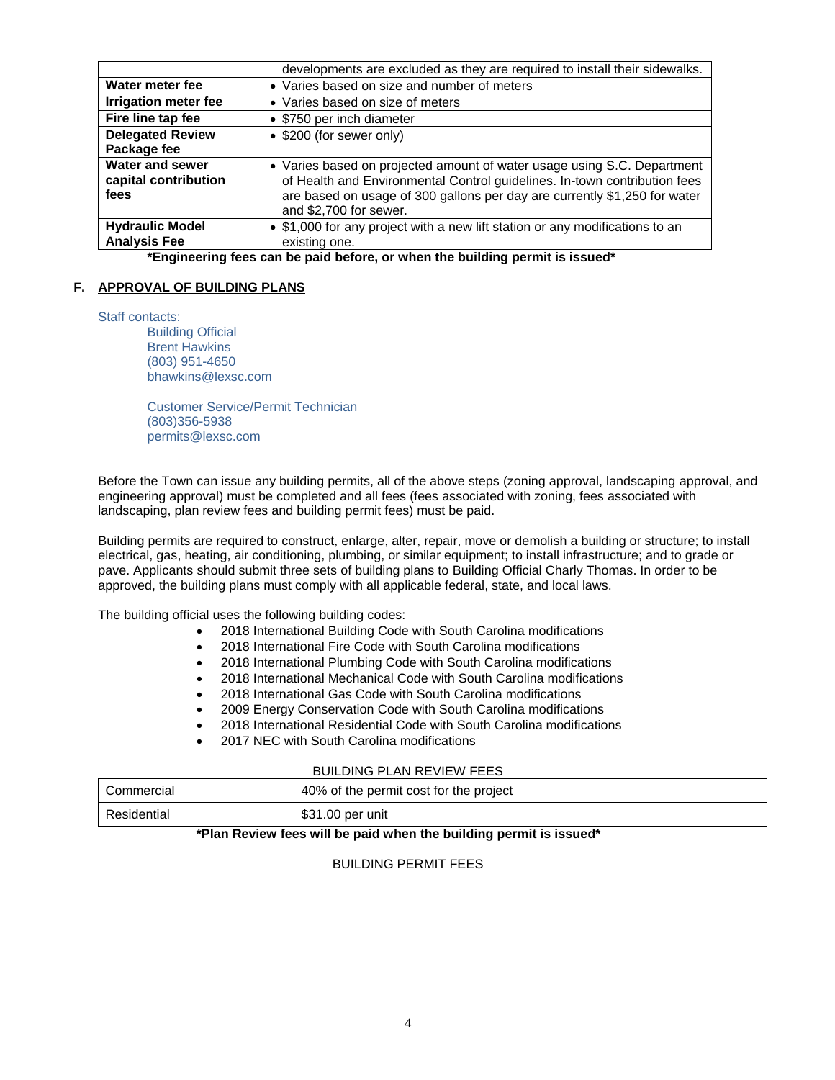|                                                        | developments are excluded as they are required to install their sidewalks.                                                                                                                                                                                  |  |
|--------------------------------------------------------|-------------------------------------------------------------------------------------------------------------------------------------------------------------------------------------------------------------------------------------------------------------|--|
| Water meter fee                                        | • Varies based on size and number of meters                                                                                                                                                                                                                 |  |
| <b>Irrigation meter fee</b>                            | • Varies based on size of meters                                                                                                                                                                                                                            |  |
| Fire line tap fee                                      | • \$750 per inch diameter                                                                                                                                                                                                                                   |  |
| <b>Delegated Review</b>                                | • \$200 (for sewer only)                                                                                                                                                                                                                                    |  |
| Package fee                                            |                                                                                                                                                                                                                                                             |  |
| <b>Water and sewer</b><br>capital contribution<br>fees | • Varies based on projected amount of water usage using S.C. Department<br>of Health and Environmental Control guidelines. In-town contribution fees<br>are based on usage of 300 gallons per day are currently \$1,250 for water<br>and \$2,700 for sewer. |  |
| <b>Hydraulic Model</b>                                 | • \$1,000 for any project with a new lift station or any modifications to an                                                                                                                                                                                |  |
| <b>Analysis Fee</b>                                    | existing one.<br>.                                                                                                                                                                                                                                          |  |

**\*Engineering fees can be paid before, or when the building permit is issued\***

#### **F. APPROVAL OF BUILDING PLANS**

Staff contacts:

Building Official Brent Hawkins (803) 951-4650 bhawkins@lexsc.com

Customer Service/Permit Technician (803)356-5938 permits@lexsc.com

Before the Town can issue any building permits, all of the above steps (zoning approval, landscaping approval, and engineering approval) must be completed and all fees (fees associated with zoning, fees associated with landscaping, plan review fees and building permit fees) must be paid.

Building permits are required to construct, enlarge, alter, repair, move or demolish a building or structure; to install electrical, gas, heating, air conditioning, plumbing, or similar equipment; to install infrastructure; and to grade or pave. Applicants should submit three sets of building plans to Building Official Charly Thomas. In order to be approved, the building plans must comply with all applicable federal, state, and local laws.

The building official uses the following building codes:

- 2018 International Building Code with South Carolina modifications
- 2018 International Fire Code with South Carolina modifications
- 2018 International Plumbing Code with South Carolina modifications
- 2018 International Mechanical Code with South Carolina modifications
- 2018 International Gas Code with South Carolina modifications
- 2009 Energy Conservation Code with South Carolina modifications
- 2018 International Residential Code with South Carolina modifications
- 2017 NEC with South Carolina modifications

#### BUILDING PLAN REVIEW FEES

| l Commercial | 40% of the permit cost for the project |
|--------------|----------------------------------------|
| Residential  | \$31.00 per unit                       |

#### **\*Plan Review fees will be paid when the building permit is issued\***

## BUILDING PERMIT FEES